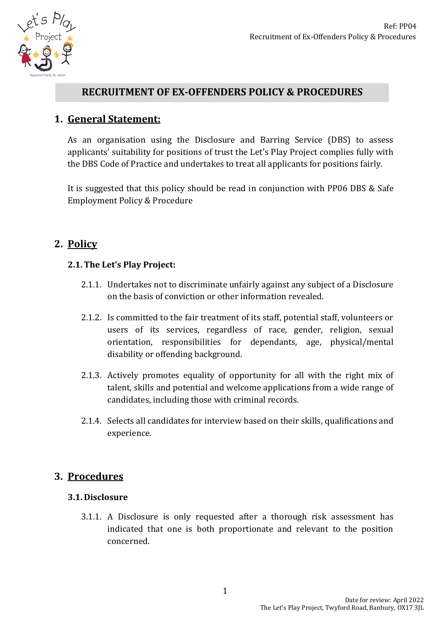

## **RECRUITMENT OF EX-OFFENDERS POLICY & PROCEDURES**

### **1. General Statement:**

As an organisation using the Disclosure and Barring Service (DBS) to assess applicants' suitability for positions of trust the Let's Play Project complies fully with the DBS Code of Practice and undertakes to treat all applicants for positions fairly.

It is suggested that this policy should be read in conjunction with PP06 DBS & Safe Employment Policy & Procedure

# **2. Policy**

### **2.1.The Let's Play Project:**

- 2.1.1. Undertakes not to discriminate unfairly against any subject of a Disclosure on the basis of conviction or other information revealed.
- 2.1.2. Is committed to the fair treatment of its staff, potential staff, volunteers or users of its services, regardless of race, gender, religion, sexual orientation, responsibilities for dependants, age, physical/mental disability or offending background.
- 2.1.3. Actively promotes equality of opportunity for all with the right mix of talent, skills and potential and welcome applications from a wide range of candidates, including those with criminal records.
- 2.1.4. Selects all candidates for interview based on their skills, qualifications and experience.

# **3. Procedures**

### **3.1. Disclosure**

3.1.1. A Disclosure is only requested after a thorough risk assessment has indicated that one is both proportionate and relevant to the position concerned.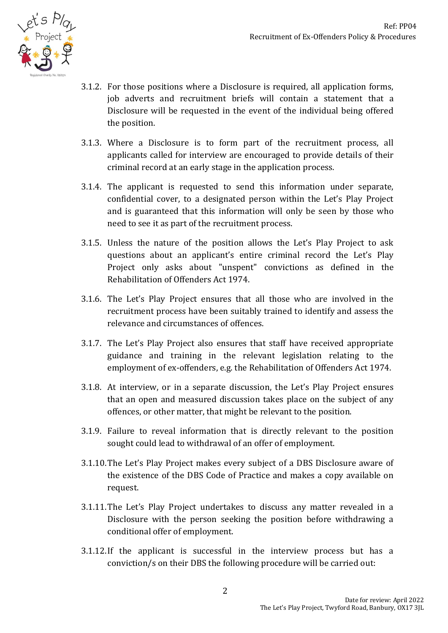

- 3.1.2. For those positions where a Disclosure is required, all application forms, job adverts and recruitment briefs will contain a statement that a Disclosure will be requested in the event of the individual being offered the position.
- 3.1.3. Where a Disclosure is to form part of the recruitment process, all applicants called for interview are encouraged to provide details of their criminal record at an early stage in the application process.
- 3.1.4. The applicant is requested to send this information under separate, confidential cover, to a designated person within the Let's Play Project and is guaranteed that this information will only be seen by those who need to see it as part of the recruitment process.
- 3.1.5. Unless the nature of the position allows the Let's Play Project to ask questions about an applicant's entire criminal record the Let's Play Project only asks about "unspent" convictions as defined in the Rehabilitation of Offenders Act 1974.
- 3.1.6. The Let's Play Project ensures that all those who are involved in the recruitment process have been suitably trained to identify and assess the relevance and circumstances of offences.
- 3.1.7. The Let's Play Project also ensures that staff have received appropriate guidance and training in the relevant legislation relating to the employment of ex-offenders, e.g. the Rehabilitation of Offenders Act 1974.
- 3.1.8. At interview, or in a separate discussion, the Let's Play Project ensures that an open and measured discussion takes place on the subject of any offences, or other matter, that might be relevant to the position.
- 3.1.9. Failure to reveal information that is directly relevant to the position sought could lead to withdrawal of an offer of employment.
- 3.1.10.The Let's Play Project makes every subject of a DBS Disclosure aware of the existence of the DBS Code of Practice and makes a copy available on request.
- 3.1.11.The Let's Play Project undertakes to discuss any matter revealed in a Disclosure with the person seeking the position before withdrawing a conditional offer of employment.
- 3.1.12.If the applicant is successful in the interview process but has a conviction/s on their DBS the following procedure will be carried out: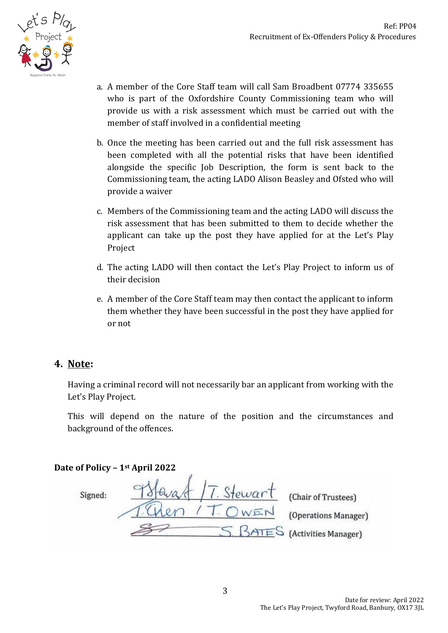

- a. A member of the Core Staff team will call Sam Broadbent 07774 335655 who is part of the Oxfordshire County Commissioning team who will provide us with a risk assessment which must be carried out with the member of staff involved in a confidential meeting
- b. Once the meeting has been carried out and the full risk assessment has been completed with all the potential risks that have been identified alongside the specific Job Description, the form is sent back to the Commissioning team, the acting LADO Alison Beasley and Ofsted who will provide a waiver
- c. Members of the Commissioning team and the acting LADO will discuss the risk assessment that has been submitted to them to decide whether the applicant can take up the post they have applied for at the Let's Play Project
- d. The acting LADO will then contact the Let's Play Project to inform us of their decision
- e. A member of the Core Staff team may then contact the applicant to inform them whether they have been successful in the post they have applied for or not

### **4. Note:**

Having a criminal record will not necessarily bar an applicant from working with the Let's Play Project.

This will depend on the nature of the position and the circumstances and background of the offences.

### **Date of Policy – 1st April 2022**

T. Stewart Signed: (Chair of Trustees) (Operations Manager) **BATES** (Activities Manager)